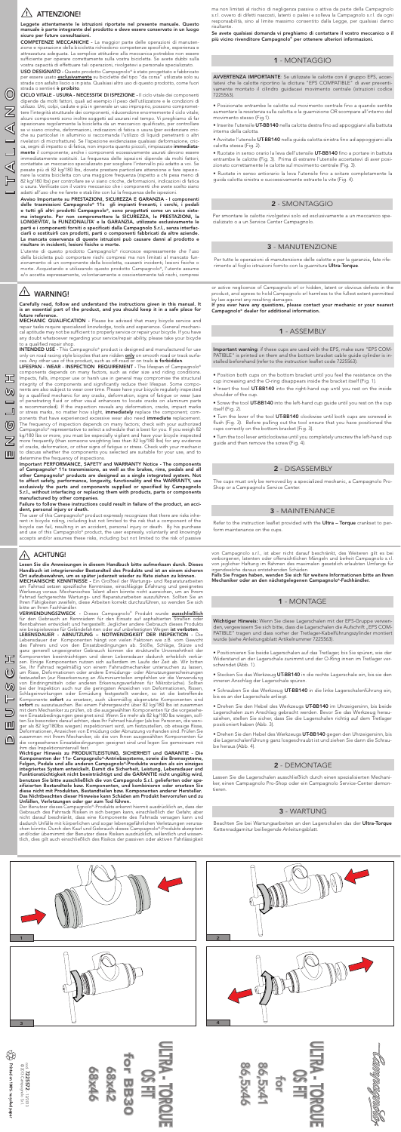# $\sqrt{!}$  ATTENZIONE!

(O

ৰ

⊩

cod.

7225572

- 12/2013





© 2013 Campagnolo S.r.l.

 $\bigotimes^{\infty}_{\infty}$ 

Printed on 100% recycled pape

Leggete attentamente le istruzioni riportate nel presente manuale. Questo manuale è parte integrante del prodotto e deve essere conservato in un luogo sicuro per future consultazioni.

USO DESIGNATO - Questo prodotto Campagnolo® è stato progettato e fabbricato per essere usato <u>**esclusivamente**</u> su biciclette del tipo "da corsa" utilizzate solo su strade con asfalto liscio o in pista. Qualsiasi altro uso di questo prodotto, come fuori strada o sentieri è proibito.

COMPETENZE MECCANICHE - La maggior parte delle operazioni di manutenzione e riparazione della bicicletta richiedono competenze specifiche, esperienza e attrezzatura adeguata. La semplice attitudine alla meccanica potrebbe non essere sufficiente per operare correttamente sulla vostra bicicletta. Se avete dubbi sulla vostra capacità di effettuare tali operazioni, rivolgetevi a personale specializzato.

CICLO VITALE - USURA - NECESSITA' DI ISPEZIONE - Il ciclo vitale dei componenti dipende da molti fattori, quali ad esempio il peso dell'utilizzatore e le condizioni di utilizzo. Urti, colpi, cadute e più in generale un uso improprio, possono compromettere l'integrità strutturale dei componenti, riducendone enormemente il ciclo vitale; alcuni componenti sono inoltre soggetti ad usurarsi nel tempo. Vi preghiamo di far ispezionare regolarmente la bicicletta da un meccanico qualificato, per controllare se vi siano cricche, deformazioni, indicazioni di fatica o usura (per evidenziare cricche su particolari in alluminio si raccomanda l'utilizzo di liquidi penetranti o altri rivelatori di microfratture). Se l'ispezione evidenziasse qualsiasi deformazione, cricca, segni di impatto o di fatica, non importa quanto piccoli, rimpiazzate *immediata*mente il componente; anche i componenti eccessivamente usurati devono essere immediatamente sostituiti. La frequenza delle ispezioni dipende da molti fattori; contattate un meccanico specializzato per scegliere l'intervallo più adatto a voi. Se pesate più di 82 kg/180 lbs, dovete prestare particolare attenzione e fare ispezionare la vostra bicicletta con una maggiore frequenza (rispetto a chi pesa meno di 82 kg/180 lbs) per controllare se vi siano cricche, deformazioni, indicazioni di fatica o usura. Verificate con il vostro meccanico che i componenti che avete scelto siano adatti all'uso che ne farete e stabilite con lui la frequenza delle ispezioni.

Avviso Importante su PRESTAZIONI, SICUREZZA E GARANZIA - I componenti delle trasmissioni Campagnolo® 11s gli impianti frenanti, i cerchi, i pedali e tutti gli altri prodotti Campagnolo®, sono progettati come un unico sistema integrato. Per non compromettere la SICUREZZA, le PRESTAZIONI, la LONGEVITA', la FUNZIONALITA' e la GARANZIA, utilizzate esclusivamente le parti e i componenti forniti o specificati dalla Campagnolo S.r.l., senza interfacciarli o sostituirli con prodotti, parti o componenti fabbricati da altre aziende. La mancata osservanza di queste istruzioni può causare danni al prodotto e risultare in incidenti, lesioni fisiche o morte.

LIFESPAN - WEAR - INSPECTION REQUIREMENT - The lifespan of Campagnolo® components depends on many factors, such as rider size and riding conditions. Impacts, falls, improper use or harsh use in general may compromise the structural integrity of the components and significantly reduce their lifespan. Some components are also subject to wear over time. Please have your bicycle regularly inspected by a qualified mechanic for any cracks, deformation, signs of fatigue or wear (use of penetrating fluid or other visual enhancers to locate cracks on aluminum parts is recommended). If the inspection reveals any deformation, cracks, impact marks or stress marks, no matter how slight, *immediately* replace the component; components that have experienced excessive wear also need *immediate* replacement. The frequency of inspection depends on many factors; check with your authorized Campagnolo® representative to select a schedule that is best for you. If you weigh 82 kg/180 lbs or more, you must be especially vigilant and have your bicycle inspected more frequently (than someone weighting less than 82 kg/180 lbs) for any evidence of cracks, deformation, or other signs of fatigue or stress. Check with your mechanic to discuss whether the components you selected are suitable for your use, and to determine the frequency of inspections.

The user of this Campagnolo® product expressly recognizes that there are risks inherent in bicycle riding, including but not limited to the risk that a component of the bicycle can fail, resulting in an accident, personal injury or death. By his purchase and use of this Campagnolo® product, the user expressly, voluntarily and knowingly accepts and/or assumes these risks, including but not limited to the risk of passive

L'utente di questo prodotto Campagnolo® riconosce espressamente che l'uso della bicicletta può comportare rischi compresi ma non limitati al mancato funzionamento di un componente della bicicletta, causanti incidenti, lesioni fisiche o morte. Acquistando e utilizzando questo prodotto Campagnolo®, l'utente assume e/o accetta espressamente, volontariamente e coscientemente tali rischi, compresi

# $\overline{\mathbb{A}}$  WARNING!

ON EUNTSCH ENGLIGN EN ENGLIGN EN FRANCHE EUNTSCH EUNTSCH EUNTSCH EUNTSCH EUNTSCH

⑲

 $\boldsymbol{\mathbb{Z}}$ 吅

בל

 $\bigcirc$ 

 $\omega$ ⊫

 $\supseteq$ 呬

 $\Box$ 

冝  $\omega$ 

#### ACHTUNG!  $\sqrt{1}$

Carefully read, follow and understand the instructions given in this manual. It is an essential part of the product, and you should keep it in a safe place for future reference.

VERWENDUNGSZWECK - Dieses Campagnolo® Produkt wurde ausschließlich für den Gebrauch an Rennrädern für den Einsatz auf asphaltierten Straßen oder Rennbahnen entwickelt und hergestellt. Jeglicher andere Gebrauch dieses Produkts<br>wie beispielsweise für Geländefahrten oder auf unbefestigten Wegen **ist verboten**.

MECHANIC QUALIFICATION - Please be advised that many bicycle service and repair tasks require specialized knowledge, tools and experience. General mechanical aptitude may not be sufficient to properly service or repair your bicycle. If you have any doubt whatsoever regarding your service/repair ability, please take your bicycle to a qualified repair shop.

INTENDED USE - This Campagnolo® product is designed and manufactured for use only on road racing style bicycles that are ridden **only** on smooth road or track surfaces. Any other use of this product, such as off-road or on trails is forbidden.

> von Campagnolo s.r.l., ist aber nicht darauf beschränkt, des Weiteren gilt es bei verborgenen, latenten oder offensichtlichen Mängeln und befreit Campagnolo s.r.l. von jeglicher Haftung im Rahmen des maximalen gesetzlich erlaubten Umfangs für irgendwelche daraus entstehenden Schäden.<br>Falls Sie Fragen haben, wenden Sie sich für weitere Informationen bitte an Ihren

Important PERFORMANCE, SAFETY and WARRANTY Notice - The components of Campagnolo® 11s transmissions, as well as the brakes, rims, pedals and all other Campagnolo® products are designed as a single integrated system. Not to affect safety, performance, longevity, functionality and the WARRANTY, use exclusively the parts and components supplied or specified by Campagnolo S.r.l., without interfacing or replacing them with products, parts or components manufactured by other companies.

#### Failure to follow these instructions could result in failure of the product, an accident, personal injury or death.

Per tutte le operazioni di manutenzione delle calotte e per la garanzia, fate riferimento al foglio istruzioni fornito con la guarnitura Ultra-Torque.

Per smontare le calotte rivolgetevi solo ed esclusivamente a un meccanico specializzato o a un Service Center Campagnolo.

Lesen Sie die Anweisungen in diesem Handbuch bitte aufmerksam durch. Dieses Handbuch ist integrierender Bestandteil des Produkts und ist an einem sicheren Ort aufzubewahren, um es später jederzeit wieder zu Rate ziehen zu können.

Refer to the instruction leaflet provided with the Ultra - Torque crankset to perform maintenance on the cups.

MECHANISCHE KENNTNISSE - Ein Großteil der Wartungs- und Reparaturarbeiten am Fahrrad setzen spezifische Kenntnisse, einschlägige Erfahrung und geeignetes Werkzeug voraus. Mechanisches Talent allein könnte nicht ausreichen, um an Ihrem Fahrrad fachgerechte Wartungs- und Reparaturarbeiten auszuführen. Sollten Sie an Ihren Fähigkeiten zweifeln, diese Arbeiten korrekt durchzuführen, so wenden Sie sich

### bitte an Ihren Fachhändler.

Wichtiger Hinweis: Wenn Sie diese Lagerschalen mit der EPS-Gruppe verwenden, vergewissern Sie sich bitte, dass die Lagerschalen die Aufschrift "EPS COM-PATIBLE" tragen und dass vorher der Tretlager-Kabelführungszylinder montiert wurde (siehe Anleitungsblatt Artikelnummer 7225563).

LEBENSDAUER - ABNUTZUNG – NOTWENDIGKEIT DER INSPEKTION - Die Lebensdauer der Komponenten hängt von vielen Faktoren wie z.B. vom Gewicht des Fahrers und von den Einsatzbedingungen ab. Stöße, Schläge, Stürze und ganz generell ungeeigneter Gebrauch können die strukturelle Unversehrtheit der Komponenten beeinträchtigen und deren Lebensdauer dadurch erheblich verkürzen. Einige Komponenten nutzen sich außerdem im Laufe der Zeit ab. Wir bitten Sie, Ihr Fahrrad regelmäßig von einem Fahrradmechaniker untersuchen zu lassen, um Risse, Deformationen oder andere Ermüdungs- oder Abnutzungserscheinungen festzustellen (zur Risserkennung an Aluminiumteilen empfehlen wir die Verwendung von Eindringmitteln oder anderen Erkennungsverfahren für Mikrobrüche). Sollten bei der Inspektion auch nur die geringsten Anzeichen von Deformationen, Rissen, Schlageinwirkungen oder Ermüdung festgestellt werden, so ist die betreffende<br>Komponente **sofort** zu ersetzen, auch übermäßig abgenutzte Komponenten sind sofort zu auszutauschen. Bei einem Fahrergewicht über 82 kg/180 lbs ist zusammen mit dem Mechaniker zu prüfen, ob die ausgewählten Komponenten für die vorgesehenen Einsatzbedingungen geeignet sind. Wenn Sie mehr als 82 kg/180 lbs wiegen, sollten Sie besonders darauf achten, dass Ihr Fahrrad häufiger (als bei Personen, die weniger als 82 kg/180lbs wiegen) inspektioniert wird, um festzustellen, ob etwaige Risse, Deformationen, Anzeichen von Ermüdung oder Abnutzung vorhanden sind. Prüfen Sie zusammen mit Ihrem Mechaniker, ob die von Ihnen ausgewählten Komponenten für die vorgesehenen Einsatzbedingungen geeignet sind und legen Sie gemeinsam mit ihm das Inspektionsintervall fest.

Wichtiger Hinweis zu PRODUKTLEISTUNG, SICHERHEIT und GARANTIE - Die Komponenten der 11s- Campagnolo®-Antriebssysteme, sowie die Bremssysteme, Felgen, Pedale und alle anderen Campagnolo®-Produkte wurden als ein einziges integriertes System entwickelt. Damit die Sicherheit, Leistung, Lebensdauer und Funktionstüchtigkeit nicht beeinträchtigt und die GARANTIE nicht ungültig wird, benutzen Sie bitte ausschließlich die von Campagnolo S.r.l. gelieferten oder spezifizierten Bestandteile bzw. Komponenten, und kombinieren oder ersetzen Sie diese nicht mit Produkten, Bestandteilen bzw. Komponenten anderer Hersteller. Das Nichtbeachten dieser Hinweise kann Schäden am Produkt hervorrufen und zu Unfällen, Verletzungen oder gar zum Tod führen.

Der Benutzer dieses Campagnolo®-Produkts erkennt hiermit ausdrücklich an, dass der Gebrauch des Fahrrads Risiken in sich bergen kann, einschließlich der Gefahr, aber nicht darauf beschränkt, dass eine Komponente des Fahrrads versagen kann und dadurch Unfälle mit körperlichen und sogar lebensgefährlichen Verletzungen verursachen könnte. Durch den Kauf und Gebrauch dieses Campagnolo®-Produkts akzeptiert und/oder übernimmt der Benutzer diese Risiken ausdrücklich, willentlich und wissentlich, dies gilt auch einschließlich des Risikos der passiven oder aktiven Fahrlässigkeit



ma non limitati al rischio di negligenza passiva o attiva da parte della Campagnolo s.r.l. ovvero di difetti nascosti, latenti o palesi e solleva la Campagnolo s.r.l. da ogni responsabilità, sino al limite massimo consentito dalla Legge, per qualsiasi danno risultante.

Se avete qualsiasi domanda vi preghiamo di contattare il vostro meccanico o il più vicino rivenditore Campagnolo® per ottenere ulteriori informazioni.

or active neglicence of Campagnolo srl or hidden, latent or obvious defects in the product, and agrees to hold Campagnolo srl harmless to the fullest extent permitted by law against any resulting damages.

If you ever have any questions, please contact your mechanic or your nearest Campagnolo® dealer for additional information.

Mechaniker oder an den nächstgelegenen Campagnolo®-Fachhändler.

ULTRA - TORQUE

OS FIT

for BB30

or BB3

68x46

**68x42** 

• Posizionate entrambe le calotte sul movimento centrale fino a quando sentite aumentare la resistenza sulla calotta e la guarnizione OR scompare all'interno del movimento stesso (Fig.1).

• Inserite l'utensile UT-BB140 nella calotta destra fino ad appoggiarvi alla battuta interna della calotta.

• Avvitate l'utensile UT-BB140 nella guida calotta sinistra fino ad appoggiarvi alla calotta stessa (Fig. 2).

• Ruotate in senso orario la leva dell'utensile UT-BB140 fino a portare in battuta entrambe le calotte (Fig. 3). Prima di estrarre l'utensile accertatevi di aver posizionato correttamente le calotte sul movimento centrale (Fig. 3).

• Ruotate in senso antiorario la leva l'utensile fino a svitare completamente la guida calotta sinistra e successivamente estraete la vite (Fig. 4).

# 1 - MONTAGGIO

# 2 - SMONTAGGIO

### 3 - MANUTENZIONE

- Position both cups on the bottom bracket until you feel the resistance on the cup increasing and the O-ring disappears inside the bracket itself (Fig. 1).
- Insert the tool UT-BB140 into the right-hand cup until you rest on the inside shoulder of the cup.
- Screw the tool UT-BB140 into the left-hand cup guide until you rest on the cup itself (Fig. 2).
- Turn the lever of the tool UT-BB140 clockwise until both cups are screwed in flush (Fig. 3). Before pulling out the tool ensure that you have positioned the cups correctly on the bottom bracket (Fig. 3).

• Turn the tool lever anticlockwise until you completely unscrew the left-hand cup guide and then remove the screw (Fig. 4).

The cups must only be removed by a specialized mechanic, a Campagnolo Pro-Shop or a Campagnolo Service Center.

• Positionieren Sie beide Lagerschalen auf das Tretlager, bis Sie spüren, wie der Widerstand an der Lagerschale zunimmt und der O-Ring innen im Tretlager verschwindet (Abb. 1).

• Stecken Sie das Werkzeug UT-BB140 in die rechte Lagerschale ein, bis sie den inneren Anschlag der Lagerschale spüren.

• Schrauben Sie das Werkzeug UT-BB140 in die linke Lagerschalenführung ein, bis es an der Lagerschale anliegt.

• Drehen Sie den Hebel des Werkzeugs UT-BB140 im Uhrzeigersinn, bis beide Lagerschalen zum Anschlag gebracht werden. Bevor Sie das Werkzeug herausziehen, stellen Sie sicher, dass Sie die Lagerschalen richtig auf dem Tretlager positioniert haben (Abb. 3).

• Drehen Sie den Hebel des Werkzeugs UT-BB140 gegen den Uhrzeigersinn, bis die Lagerschalenführung ganz losgeschraubt ist und ziehen Sie dann die Schraube heraus (Abb. 4).

Beachten Sie bei Wartungsarbeiten an den Lagerschalen das der Ultra-Torque Kettenradgarnitur beiliegende Anleitungsblatt.

Lassen Sie die Lagerschalen ausschließlich durch einen spezialisierten Mechaniker, einen Campagnolo Pro-Shop oder ein Campagnolo Service-Center demontieren.

### 1 - ASSEMBLY

### 2 - DISASSEMBLY

### 3 - MAINTENANCE

### 1 - MONTAGE

### 2 - DEMONTAGE

# 3 - WARTUNG



AVVERTENZA IMPORTANTE: Se utilizzate le calotte con il gruppo EPS, accertatevi che le calotte riportino la dicitura "EPS COMPATIBLE" di aver preventivamente montato il cilindro guidacavi movimento centrale (istruzioni codice 7225563).

Important warning: if these cups are used with the EPS, make sure "EPS COM-PATIBLE" is printed on them and the bottom bracket cable guide cylinder is installed beforehand (refer to the instruction leaflet code 7225563).